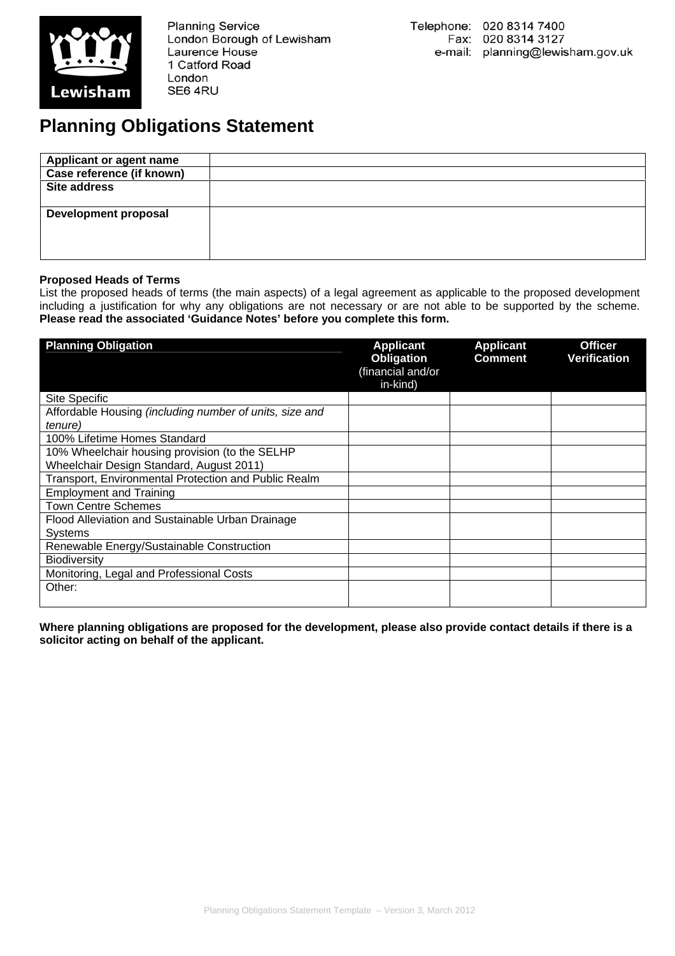

**Planning Service** London Borough of Lewisham Laurence House 1 Catford Road London SE6 4RU

## **Planning Obligations Statement**

| <b>Applicant or agent name</b> |  |
|--------------------------------|--|
| Case reference (if known)      |  |
| <b>Site address</b>            |  |
| <b>Development proposal</b>    |  |

## **Proposed Heads of Terms**

List the proposed heads of terms (the main aspects) of a legal agreement as applicable to the proposed development including a justification for why any obligations are not necessary or are not able to be supported by the scheme. **Please read the associated 'Guidance Notes' before you complete this form.**

| <b>Planning Obligation</b>                                                                 | <b>Applicant</b><br>Obligation<br>(financial and/or<br>in-kind) | <b>Applicant</b><br><b>Comment</b> | <b>Officer</b><br><b>Verification</b> |
|--------------------------------------------------------------------------------------------|-----------------------------------------------------------------|------------------------------------|---------------------------------------|
| Site Specific                                                                              |                                                                 |                                    |                                       |
| Affordable Housing (including number of units, size and<br>tenure)                         |                                                                 |                                    |                                       |
| 100% Lifetime Homes Standard                                                               |                                                                 |                                    |                                       |
| 10% Wheelchair housing provision (to the SELHP<br>Wheelchair Design Standard, August 2011) |                                                                 |                                    |                                       |
| Transport, Environmental Protection and Public Realm                                       |                                                                 |                                    |                                       |
| <b>Employment and Training</b>                                                             |                                                                 |                                    |                                       |
| <b>Town Centre Schemes</b>                                                                 |                                                                 |                                    |                                       |
| Flood Alleviation and Sustainable Urban Drainage<br>Systems                                |                                                                 |                                    |                                       |
| Renewable Energy/Sustainable Construction                                                  |                                                                 |                                    |                                       |
| <b>Biodiversity</b>                                                                        |                                                                 |                                    |                                       |
| Monitoring, Legal and Professional Costs                                                   |                                                                 |                                    |                                       |
| Other:                                                                                     |                                                                 |                                    |                                       |

**Where planning obligations are proposed for the development, please also provide contact details if there is a solicitor acting on behalf of the applicant.**